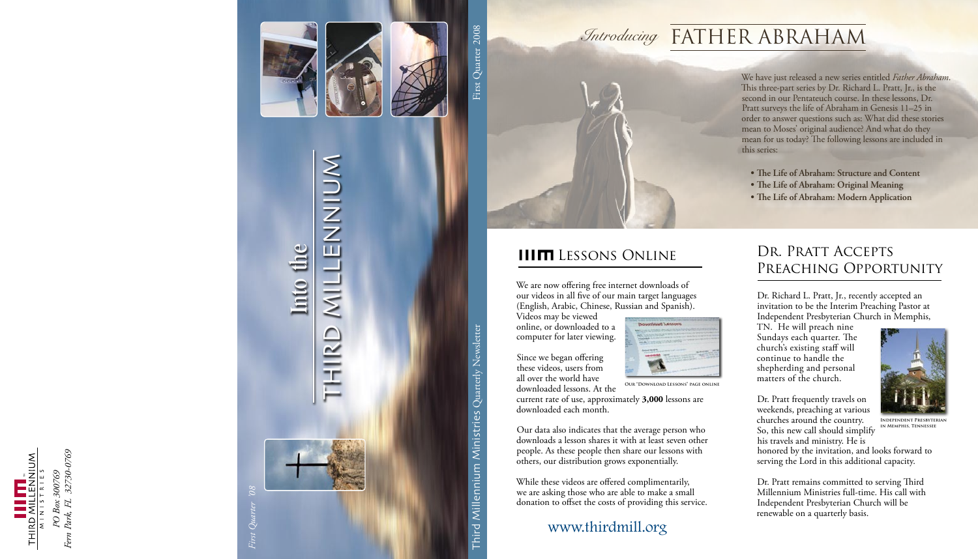MILLENNIUM THIRD

RD



First Quarter 2008

# Third Millennium Ministries  $\mathrm{Quart}$ y Newsletter Ministries Millennium Third

2008 Quarterly Newsletter Controller First Quarter 2008

*<i>Introducing* FATHER ABRAHAM

this series:

### DR. PRATT ACCEPTS PREACHING OPPORTUNITY

computer for later viewing. Since we began offering these videos, users from all over the world have

*08' Quarter First*



# MILLENNIUM Into the





current rate of use, approximately 3,000 lessons are downloaded each month.

**IIIITI** LESSONS ONLINE

We are now offering free internet downloads of our videos in all five of our main target languages (English, Arabic, Chinese, Russian and Spanish).

Videos may be viewed online, or downloaded to a

downloaded lessons. At the

Our data also indicates that the average person who downloads a lesson shares it with at least seven other people. As these people then share our lessons with others, our distribution grows exponentially.

While these videos are offered complimentarily, we are asking those who are able to make a small donation to offset the costs of providing this service.

www.thirdmill.org



We have just released a new series entitled Father Abraham. This three-part series by Dr. Richard L. Pratt, Jr., is the second in our Pentateuch course. In these lessons, Dr. Pratt surveys the life of Abraham in Genesis 11-25 in order to answer questions such as: What did these stories mean to Moses' original audience? And what do they mean for us today? The following lessons are included in

• The Life of Abraham: Structure and Content  $\bullet$  The Life of Abraham: Original Meaning • The Life of Abraham: Modern Application

Dr. Richard L. Pratt, Jr., recently accepted an invitation to be the Interim Preaching Pastor at Independent Presbyterian Church in Memphis,

TN. He will preach nine Sundays each quarter. The church's existing staff will continue to handle the shepherding and personal matters of the church.

Dr. Pratt frequently travels on weekends, preaching at various churches around the country. So, this new call should simplify his travels and ministry. He is



**INDEPENDENT PRESBYTERIAN IN MEMPHIS, TENNESSEE** 

honored by the invitation, and looks forward to serving the Lord in this additional capacity.

Dr. Pratt remains committed to serving Third Millennium Ministries full-time. His call with Independent Presbyterian Church will be renewable on a quarterly basis.